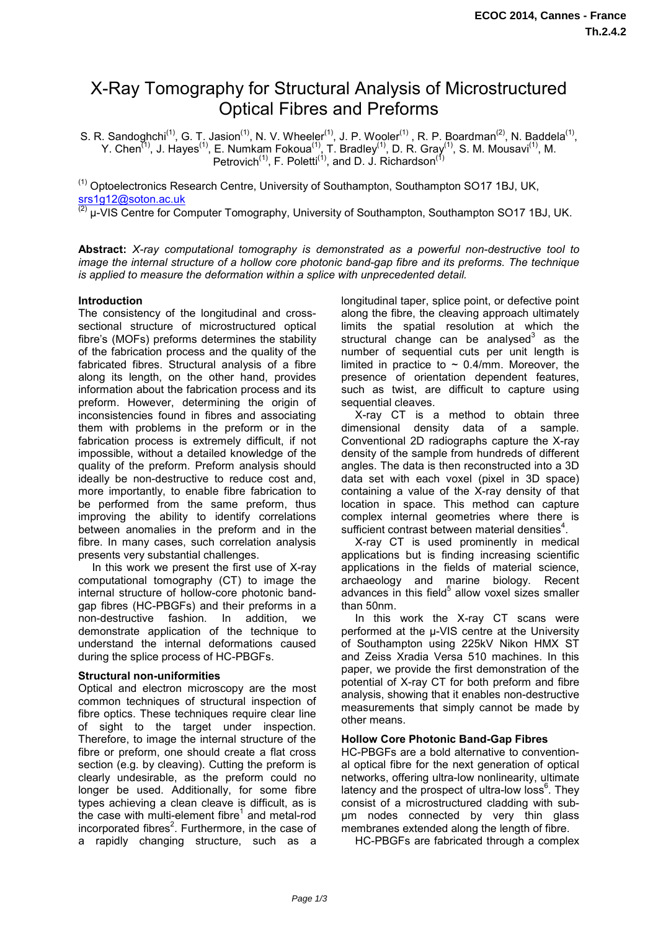# X-Ray Tomography for Structural Analysis of Microstructured Optical Fibres and Preforms

S. R. Sandoghchi<sup>(1)</sup>, G. T. Jasion<sup>(1)</sup>, N. V. Wheeler<sup>(1)</sup>, J. P. Wooler<sup>(1)</sup>, R. P. Boardman<sup>(2)</sup>, N. Baddela<sup>(1)</sup>, Y. Chen<sup>(1)</sup>, J. Hayes<sup>(1)</sup>, E. Numkam Fokoua<sup>(1)</sup>, T. Bradley<sup>(1)</sup>, D. R. Gray<sup>(1)</sup>, S. M. Mousavi<sup>(1)</sup>, M. Petrovich<sup>(1)</sup>, F. Poletti<sup>(1)</sup>, and D. J. Richardson<sup>(1)</sup>

<sup>(1)</sup> Optoelectronics Research Centre, University of Southampton, Southampton SO17 1BJ, UK,  $rac{1}{(2)}$  srs1g12@soton.ac.uk

µ-VIS Centre for Computer Tomography, University of Southampton, Southampton SO17 1BJ, UK.

**Abstract:** *X-ray computational tomography is demonstrated as a powerful non-destructive tool to image the internal structure of a hollow core photonic band-gap fibre and its preforms. The technique is applied to measure the deformation within a splice with unprecedented detail.*

## **Introduction**

The consistency of the longitudinal and crosssectional structure of microstructured optical fibre's (MOFs) preforms determines the stability of the fabrication process and the quality of the fabricated fibres. Structural analysis of a fibre along its length, on the other hand, provides information about the fabrication process and its preform. However, determining the origin of inconsistencies found in fibres and associating them with problems in the preform or in the fabrication process is extremely difficult, if not impossible, without a detailed knowledge of the quality of the preform. Preform analysis should ideally be non-destructive to reduce cost and, more importantly, to enable fibre fabrication to be performed from the same preform, thus improving the ability to identify correlations between anomalies in the preform and in the fibre. In many cases, such correlation analysis presents very substantial challenges.

In this work we present the first use of X-ray computational tomography (CT) to image the internal structure of hollow-core photonic bandgap fibres (HC-PBGFs) and their preforms in a non-destructive fashion. In addition, we demonstrate application of the technique to understand the internal deformations caused during the splice process of HC-PBGFs.

### **Structural non-uniformities**

Optical and electron microscopy are the most common techniques of structural inspection of fibre optics. These techniques require clear line of sight to the target under inspection. Therefore, to image the internal structure of the fibre or preform, one should create a flat cross section (e.g. by cleaving). Cutting the preform is clearly undesirable, as the preform could no longer be used. Additionally, for some fibre types achieving a clean cleave is difficult, as is the case with multi-element fibre<sup>1</sup> and metal-rod incorporated fibres<sup>2</sup>. Furthermore, in the case of a rapidly changing structure, such as a

longitudinal taper, splice point, or defective point along the fibre, the cleaving approach ultimately limits the spatial resolution at which the structural change can be analysed $3$  as the number of sequential cuts per unit length is limited in practice to  $\sim$  0.4/mm. Moreover, the presence of orientation dependent features, such as twist, are difficult to capture using sequential cleaves.

X-ray CT is a method to obtain three dimensional density data of a sample. Conventional 2D radiographs capture the X-ray density of the sample from hundreds of different angles. The data is then reconstructed into a 3D data set with each voxel (pixel in 3D space) containing a value of the X-ray density of that location in space. This method can capture complex internal geometries where there is sufficient contrast between material densities $4$ .

X-ray CT is used prominently in medical applications but is finding increasing scientific applications in the fields of material science, archaeology and marine biology. Recent advances in this field $5$  allow voxel sizes smaller than 50nm.

In this work the X-ray CT scans were performed at the µ-VIS centre at the University of Southampton using 225kV Nikon HMX ST and Zeiss Xradia Versa 510 machines. In this paper, we provide the first demonstration of the potential of X-ray CT for both preform and fibre analysis, showing that it enables non-destructive measurements that simply cannot be made by other means.

## **Hollow Core Photonic Band-Gap Fibres**

HC-PBGFs are a bold alternative to conventional optical fibre for the next generation of optical networks, offering ultra-low nonlinearity, ultimate latency and the prospect of ultra-low loss<sup>6</sup>. They consist of a microstructured cladding with subµm nodes connected by very thin glass membranes extended along the length of fibre.

HC-PBGFs are fabricated through a complex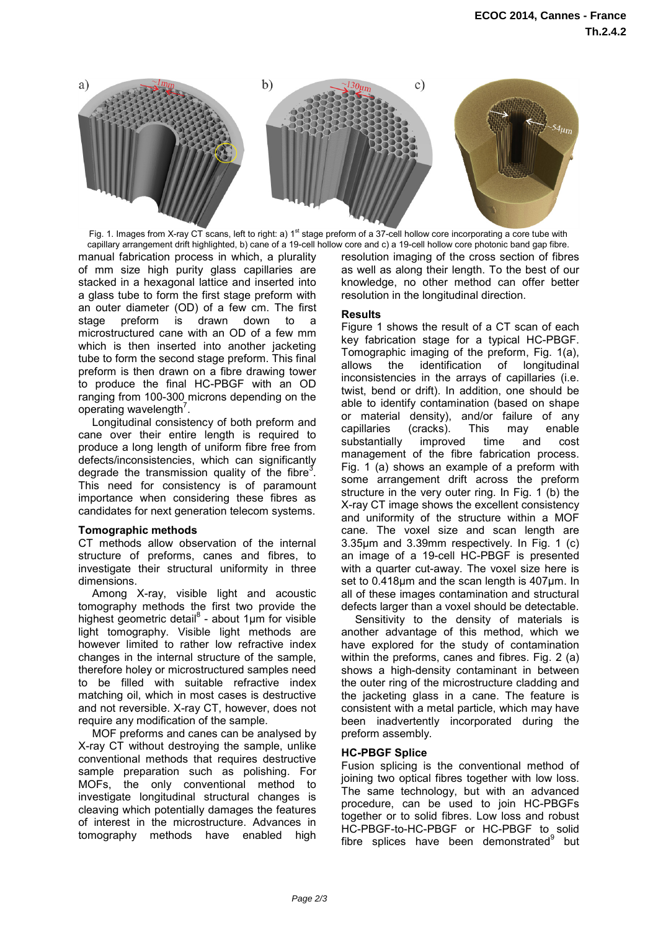

Fig. 1. Images from X-ray CT scans, left to right: a) 1<sup>st</sup> stage preform of a 37-cell hollow core incorporating a core tube with capillary arrangement drift highlighted, b) cane of a 19-cell hollow core and c) a 19-cell hollow core photonic band gap fibre.

manual fabrication process in which, a plurality of mm size high purity glass capillaries are stacked in a hexagonal lattice and inserted into a glass tube to form the first stage preform with an outer diameter (OD) of a few cm. The first stage preform is drawn down to microstructured cane with an OD of a few mm which is then inserted into another jacketing tube to form the second stage preform. This final preform is then drawn on a fibre drawing tower to produce the final HC-PBGF with an OD ranging from 100-300 microns depending on the operating wavelength<sup>7</sup>.

Longitudinal consistency of both preform and cane over their entire length is required to produce a long length of uniform fibre free from defects/inconsistencies, which can significantly degrade the transmission quality of the fibre<sup>3</sup>. This need for consistency is of paramount importance when considering these fibres as candidates for next generation telecom systems.

### **Tomographic methods**

CT methods allow observation of the internal structure of preforms, canes and fibres, to investigate their structural uniformity in three dimensions.

Among X-ray, visible light and acoustic tomography methods the first two provide the highest geometric detail<sup>8</sup> - about 1 $\mu$ m for visible light tomography. Visible light methods are however limited to rather low refractive index changes in the internal structure of the sample, therefore holey or microstructured samples need to be filled with suitable refractive index matching oil, which in most cases is destructive and not reversible. X-ray CT, however, does not require any modification of the sample.

MOF preforms and canes can be analysed by X-ray CT without destroying the sample, unlike conventional methods that requires destructive sample preparation such as polishing. For MOFs, the only conventional method to investigate longitudinal structural changes is cleaving which potentially damages the features of interest in the microstructure. Advances in tomography methods have enabled high resolution imaging of the cross section of fibres as well as along their length. To the best of our knowledge, no other method can offer better resolution in the longitudinal direction.

## **Results**

Figure 1 shows the result of a CT scan of each key fabrication stage for a typical HC-PBGF. Tomographic imaging of the preform, Fig. 1(a), allows the identification of longitudinal inconsistencies in the arrays of capillaries (i.e. twist, bend or drift). In addition, one should be able to identify contamination (based on shape or material density), and/or failure of any<br>capillaries (cracks). This may enable capillaries (cracks). This may enable<br>substantially improved time and cost substantially improved time and cost management of the fibre fabrication process. Fig. 1 (a) shows an example of a preform with some arrangement drift across the preform structure in the very outer ring. In Fig. 1 (b) the X-ray CT image shows the excellent consistency and uniformity of the structure within a MOF cane. The voxel size and scan length are 3.35µm and 3.39mm respectively. In Fig. 1 (c) an image of a 19-cell HC-PBGF is presented with a quarter cut-away. The voxel size here is set to 0.418µm and the scan length is 407µm. In all of these images contamination and structural defects larger than a voxel should be detectable.

Sensitivity to the density of materials is another advantage of this method, which we have explored for the study of contamination within the preforms, canes and fibres. Fig. 2 (a) shows a high-density contaminant in between the outer ring of the microstructure cladding and the jacketing glass in a cane. The feature is consistent with a metal particle, which may have been inadvertently incorporated during the preform assembly.

## **HC-PBGF Splice**

Fusion splicing is the conventional method of joining two optical fibres together with low loss. The same technology, but with an advanced procedure, can be used to join HC-PBGFs together or to solid fibres. Low loss and robust HC-PBGF-to-HC-PBGF or HC-PBGF to solid fibre splices have been demonstrated<sup>9</sup> but